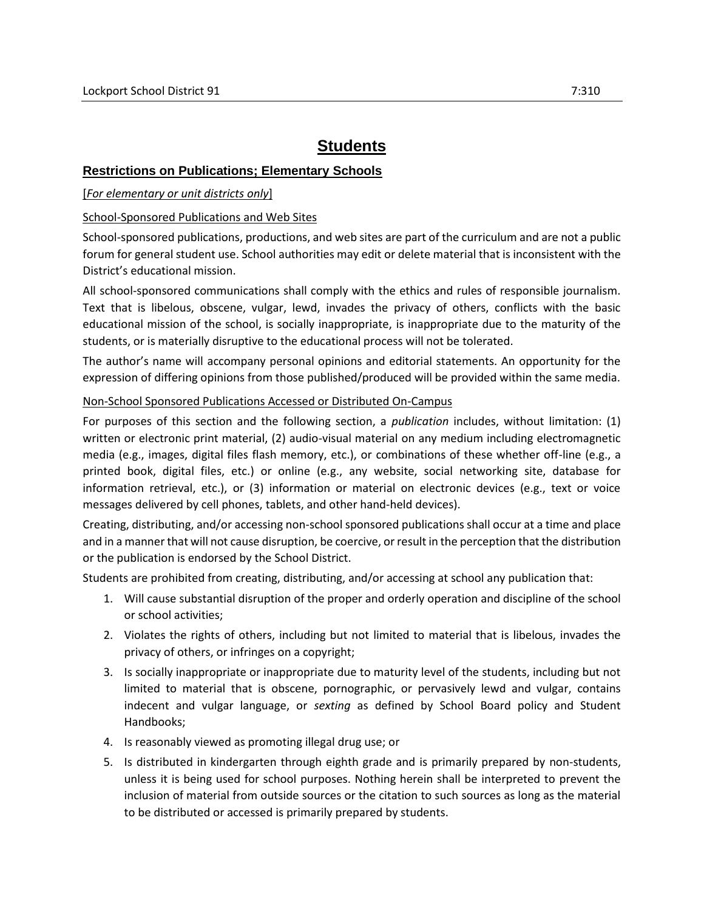# **Students**

## **Restrictions on Publications; Elementary Schools**

### [*For elementary or unit districts only*]

### School-Sponsored Publications and Web Sites

School-sponsored publications, productions, and web sites are part of the curriculum and are not a public forum for general student use. School authorities may edit or delete material that is inconsistent with the District's educational mission.

All school-sponsored communications shall comply with the ethics and rules of responsible journalism. Text that is libelous, obscene, vulgar, lewd, invades the privacy of others, conflicts with the basic educational mission of the school, is socially inappropriate, is inappropriate due to the maturity of the students, or is materially disruptive to the educational process will not be tolerated.

The author's name will accompany personal opinions and editorial statements. An opportunity for the expression of differing opinions from those published/produced will be provided within the same media.

### Non-School Sponsored Publications Accessed or Distributed On-Campus

For purposes of this section and the following section, a *publication* includes, without limitation: (1) written or electronic print material, (2) audio-visual material on any medium including electromagnetic media (e.g., images, digital files flash memory, etc.), or combinations of these whether off-line (e.g., a printed book, digital files, etc.) or online (e.g., any website, social networking site, database for information retrieval, etc.), or (3) information or material on electronic devices (e.g., text or voice messages delivered by cell phones, tablets, and other hand-held devices).

Creating, distributing, and/or accessing non-school sponsored publications shall occur at a time and place and in a manner that will not cause disruption, be coercive, or result in the perception that the distribution or the publication is endorsed by the School District.

Students are prohibited from creating, distributing, and/or accessing at school any publication that:

- 1. Will cause substantial disruption of the proper and orderly operation and discipline of the school or school activities;
- 2. Violates the rights of others, including but not limited to material that is libelous, invades the privacy of others, or infringes on a copyright;
- 3. Is socially inappropriate or inappropriate due to maturity level of the students, including but not limited to material that is obscene, pornographic, or pervasively lewd and vulgar, contains indecent and vulgar language, or *sexting* as defined by School Board policy and Student Handbooks;
- 4. Is reasonably viewed as promoting illegal drug use; or
- 5. Is distributed in kindergarten through eighth grade and is primarily prepared by non-students, unless it is being used for school purposes. Nothing herein shall be interpreted to prevent the inclusion of material from outside sources or the citation to such sources as long as the material to be distributed or accessed is primarily prepared by students.